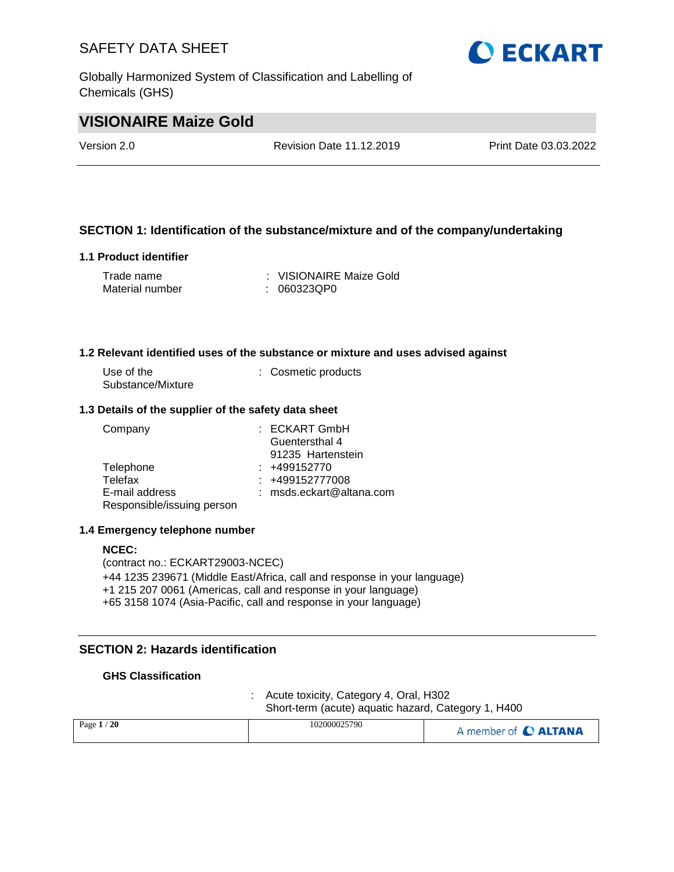Globally Harmonized System of Classification and Labelling of Chemicals (GHS)



## **VISIONAIRE Maize Gold**

Version 2.0 Revision Date 11.12.2019 Print Date 03.03.2022

#### **SECTION 1: Identification of the substance/mixture and of the company/undertaking**

#### **1.1 Product identifier**

| Trade name      | : VISIONAIRE Maize Gold |
|-----------------|-------------------------|
| Material number | : 060323QP0             |

#### **1.2 Relevant identified uses of the substance or mixture and uses advised against**

| Use of the        | : Cosmetic products |
|-------------------|---------------------|
| Substance/Mixture |                     |

#### **1.3 Details of the supplier of the safety data sheet**

| Company                    | $:$ ECKART GmbH          |
|----------------------------|--------------------------|
|                            | Guentersthal 4           |
|                            | 91235 Hartenstein        |
| Telephone                  | $: +499152770$           |
| Telefax                    | $: +499152777008$        |
| E-mail address             | : msds.eckart@altana.com |
| Responsible/issuing person |                          |

#### **1.4 Emergency telephone number**

#### **NCEC:**

(contract no.: ECKART29003-NCEC) +44 1235 239671 (Middle East/Africa, call and response in your language) +1 215 207 0061 (Americas, call and response in your language) +65 3158 1074 (Asia-Pacific, call and response in your language)

## **SECTION 2: Hazards identification**

#### **GHS Classification**

: Acute toxicity, Category 4, Oral, H302 Short-term (acute) aquatic hazard, Category 1, H400

| Page $1/20$ | 102000025790 | A member of C ALTANA |
|-------------|--------------|----------------------|
|             |              |                      |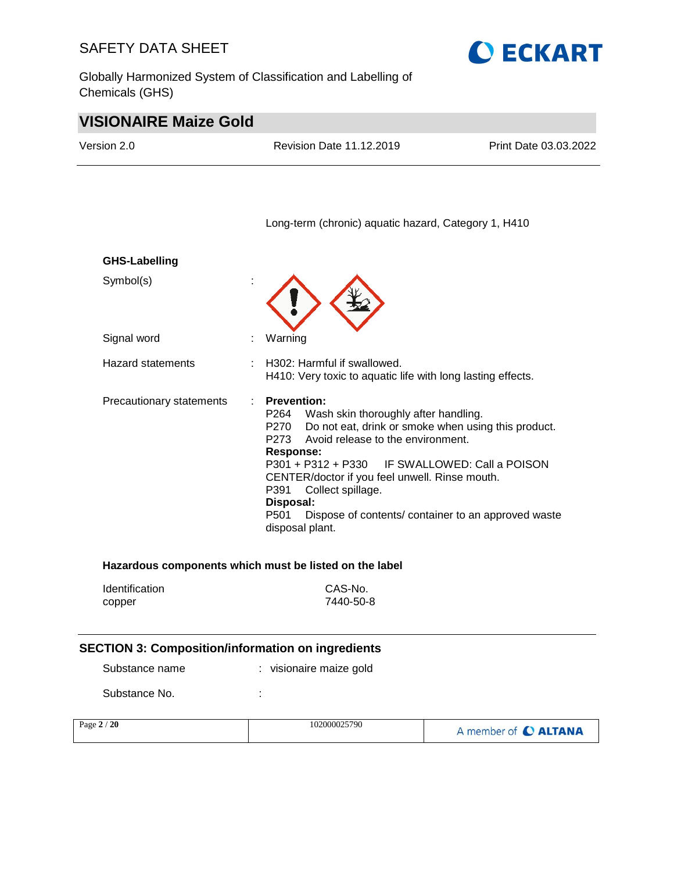Globally Harmonized System of Classification and Labelling of Chemicals (GHS)



# **VISIONAIRE Maize Gold**

| Version 2.0                                              | <b>Revision Date 11.12.2019</b>                                                                                                                                                                                                                                                                                      | Print Date 03.03.2022                                                                                      |
|----------------------------------------------------------|----------------------------------------------------------------------------------------------------------------------------------------------------------------------------------------------------------------------------------------------------------------------------------------------------------------------|------------------------------------------------------------------------------------------------------------|
|                                                          | Long-term (chronic) aquatic hazard, Category 1, H410                                                                                                                                                                                                                                                                 |                                                                                                            |
| <b>GHS-Labelling</b>                                     |                                                                                                                                                                                                                                                                                                                      |                                                                                                            |
| Symbol(s)                                                |                                                                                                                                                                                                                                                                                                                      |                                                                                                            |
| Signal word                                              | Warning                                                                                                                                                                                                                                                                                                              |                                                                                                            |
| Hazard statements                                        | H302: Harmful if swallowed.<br>H410: Very toxic to aquatic life with long lasting effects.                                                                                                                                                                                                                           |                                                                                                            |
| Precautionary statements                                 | <b>Prevention:</b><br>P264<br>Wash skin thoroughly after handling.<br>P270<br>Avoid release to the environment.<br>P273<br><b>Response:</b><br>P301 + P312 + P330 IF SWALLOWED: Call a POISON<br>CENTER/doctor if you feel unwell. Rinse mouth.<br>P391<br>Collect spillage.<br>Disposal:<br>P501<br>disposal plant. | Do not eat, drink or smoke when using this product.<br>Dispose of contents/ container to an approved waste |
|                                                          | Hazardous components which must be listed on the label                                                                                                                                                                                                                                                               |                                                                                                            |
| Identification<br>copper                                 | CAS-No.<br>7440-50-8                                                                                                                                                                                                                                                                                                 |                                                                                                            |
| <b>SECTION 3: Composition/information on ingredients</b> |                                                                                                                                                                                                                                                                                                                      |                                                                                                            |
| Substance name                                           | : visionaire maize gold                                                                                                                                                                                                                                                                                              |                                                                                                            |
| Substance No.                                            |                                                                                                                                                                                                                                                                                                                      |                                                                                                            |
| Page 2 / 20                                              | 102000025790                                                                                                                                                                                                                                                                                                         | A member of C ALTANA                                                                                       |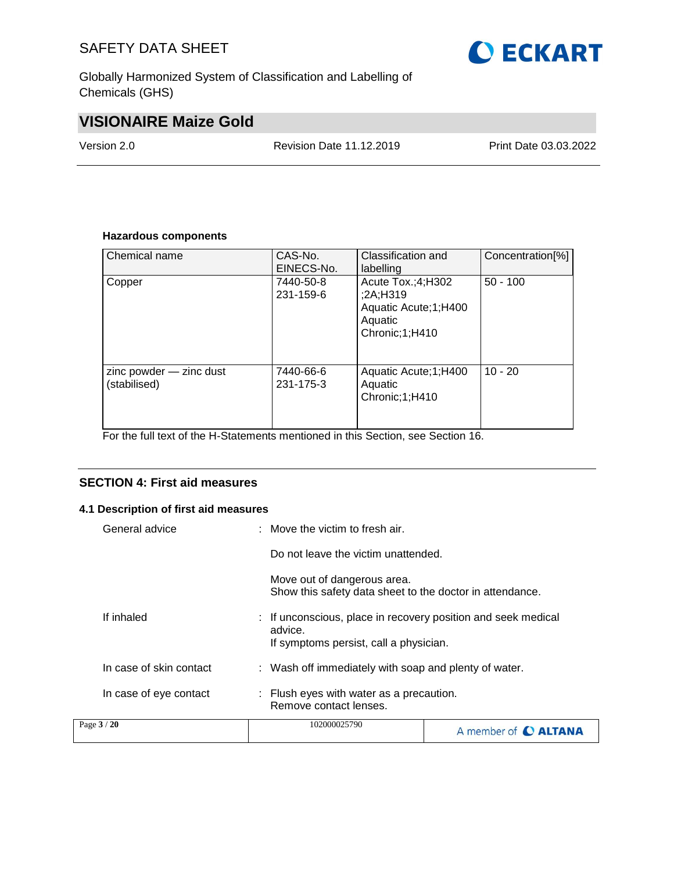Globally Harmonized System of Classification and Labelling of Chemicals (GHS)

# **VISIONAIRE Maize Gold**

Version 2.0 Revision Date 11.12.2019 Print Date 03.03.2022

#### **Hazardous components**

| Chemical name                           | CAS-No.<br>EINECS-No.  | Classification and<br>labelling                                                         | Concentration[%] |
|-----------------------------------------|------------------------|-----------------------------------------------------------------------------------------|------------------|
| Copper                                  | 7440-50-8<br>231-159-6 | Acute $Tox:(4;H302)$<br>;2A;H319<br>Aquatic Acute; 1; H400<br>Aquatic<br>Chronic;1;H410 | $50 - 100$       |
| zinc powder - zinc dust<br>(stabilised) | 7440-66-6<br>231-175-3 | Aquatic Acute; 1; H400<br>Aquatic<br>Chronic; 1; H410                                   | $10 - 20$        |

For the full text of the H-Statements mentioned in this Section, see Section 16.

#### **SECTION 4: First aid measures**

#### **4.1 Description of first aid measures**

| Page 3 / 20             | 102000025790                                                                                                       | A member of <b>C ALTANA</b>                           |  |
|-------------------------|--------------------------------------------------------------------------------------------------------------------|-------------------------------------------------------|--|
| In case of eye contact  | : Flush eyes with water as a precaution.<br>Remove contact lenses.                                                 |                                                       |  |
| In case of skin contact |                                                                                                                    | : Wash off immediately with soap and plenty of water. |  |
| If inhaled              | : If unconscious, place in recovery position and seek medical<br>advice.<br>If symptoms persist, call a physician. |                                                       |  |
|                         | Move out of dangerous area.<br>Show this safety data sheet to the doctor in attendance.                            |                                                       |  |
|                         | Do not leave the victim unattended.                                                                                |                                                       |  |
| General advice          | : Move the victim to fresh air.                                                                                    |                                                       |  |

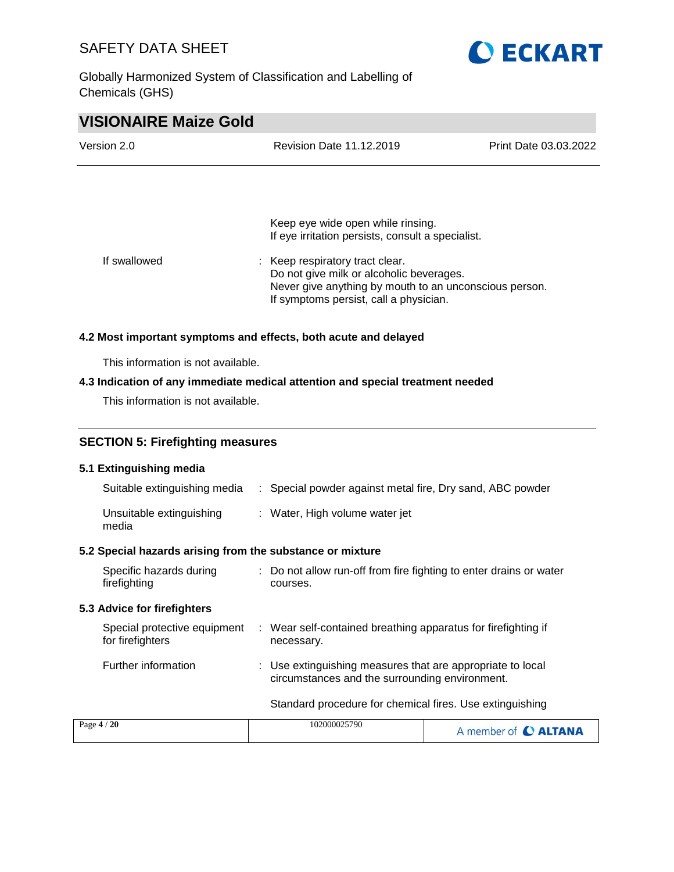Globally Harmonized System of Classification and Labelling of Chemicals (GHS)



## **VISIONAIRE Maize Gold**

| Version 2.0  | <b>Revision Date 11.12.2019</b>                                                                                                                                                 | Print Date 03.03.2022 |  |
|--------------|---------------------------------------------------------------------------------------------------------------------------------------------------------------------------------|-----------------------|--|
|              |                                                                                                                                                                                 |                       |  |
|              | Keep eye wide open while rinsing.<br>If eye irritation persists, consult a specialist.                                                                                          |                       |  |
| If swallowed | : Keep respiratory tract clear.<br>Do not give milk or alcoholic beverages.<br>Never give anything by mouth to an unconscious person.<br>If symptoms persist, call a physician. |                       |  |

#### **4.2 Most important symptoms and effects, both acute and delayed**

This information is not available.

#### **4.3 Indication of any immediate medical attention and special treatment needed**

This information is not available.

#### **SECTION 5: Firefighting measures**

#### **5.1 Extinguishing media**

| Suitable extinguishing media      | : Special powder against metal fire, Dry sand, ABC powder |
|-----------------------------------|-----------------------------------------------------------|
| Unsuitable extinguishing<br>media | : Water, High volume water jet                            |

#### **5.2 Special hazards arising from the substance or mixture**

| Specific hazards during<br>firefighting          | : Do not allow run-off from fire fighting to enter drains or water<br>courses.                               |
|--------------------------------------------------|--------------------------------------------------------------------------------------------------------------|
| 5.3 Advice for firefighters                      |                                                                                                              |
| Special protective equipment<br>for firefighters | : Wear self-contained breathing apparatus for firefighting if<br>necessary.                                  |
| Further information                              | : Use extinguishing measures that are appropriate to local<br>circumstances and the surrounding environment. |
|                                                  | Standard procedure for chemical fires. Use extinguishing                                                     |

| Page $4/20$ | 102000025790 | A member of C ALTANA |
|-------------|--------------|----------------------|
|             |              |                      |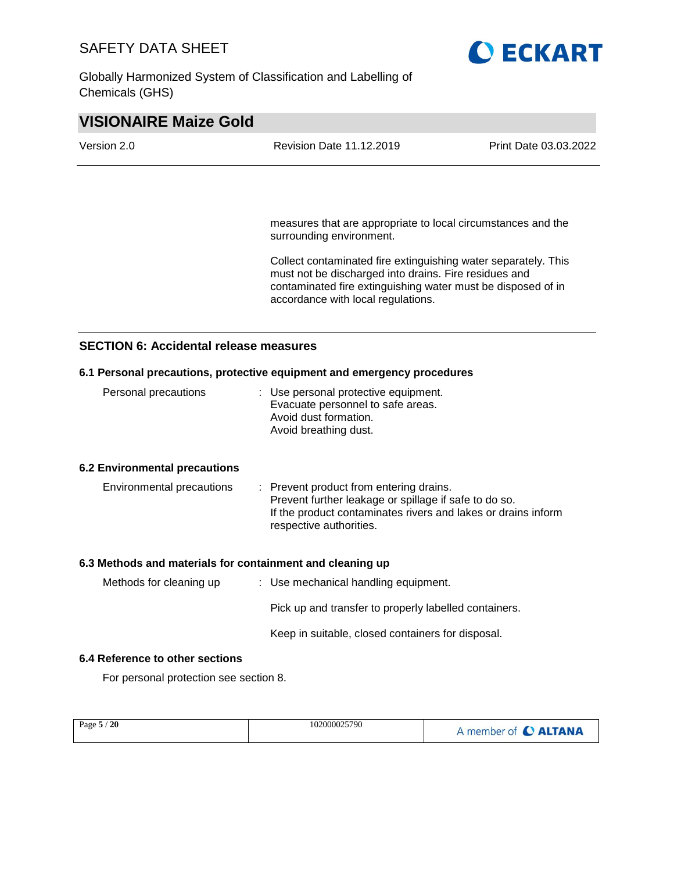Globally Harmonized System of Classification and Labelling of Chemicals (GHS)



| Version 2.0 | <b>Revision Date 11.12.2019</b> | Print Date 03.03.2022 |  |  |
|-------------|---------------------------------|-----------------------|--|--|
|             |                                 |                       |  |  |
|             |                                 |                       |  |  |

measures that are appropriate to local circumstances and the surrounding environment.

Collect contaminated fire extinguishing water separately. This must not be discharged into drains. Fire residues and contaminated fire extinguishing water must be disposed of in accordance with local regulations.

#### **SECTION 6: Accidental release measures**

#### **6.1 Personal precautions, protective equipment and emergency procedures**

| Personal precautions | : Use personal protective equipment.<br>Evacuate personnel to safe areas. |
|----------------------|---------------------------------------------------------------------------|
|                      | Avoid dust formation.<br>Avoid breathing dust.                            |
|                      |                                                                           |

#### **6.2 Environmental precautions**

| Environmental precautions | : Prevent product from entering drains.<br>Prevent further leakage or spillage if safe to do so. |
|---------------------------|--------------------------------------------------------------------------------------------------|
|                           | If the product contaminates rivers and lakes or drains inform                                    |
|                           | respective authorities.                                                                          |

#### **6.3 Methods and materials for containment and cleaning up**

| Methods for cleaning up | : Use mechanical handling equipment.                  |
|-------------------------|-------------------------------------------------------|
|                         | Pick up and transfer to properly labelled containers. |
|                         | Keep in suitable, closed containers for disposal.     |

#### **6.4 Reference to other sections**

For personal protection see section 8.

| Page $5/20$ | 102000025790 | A member of C ALTANA |
|-------------|--------------|----------------------|
|             |              |                      |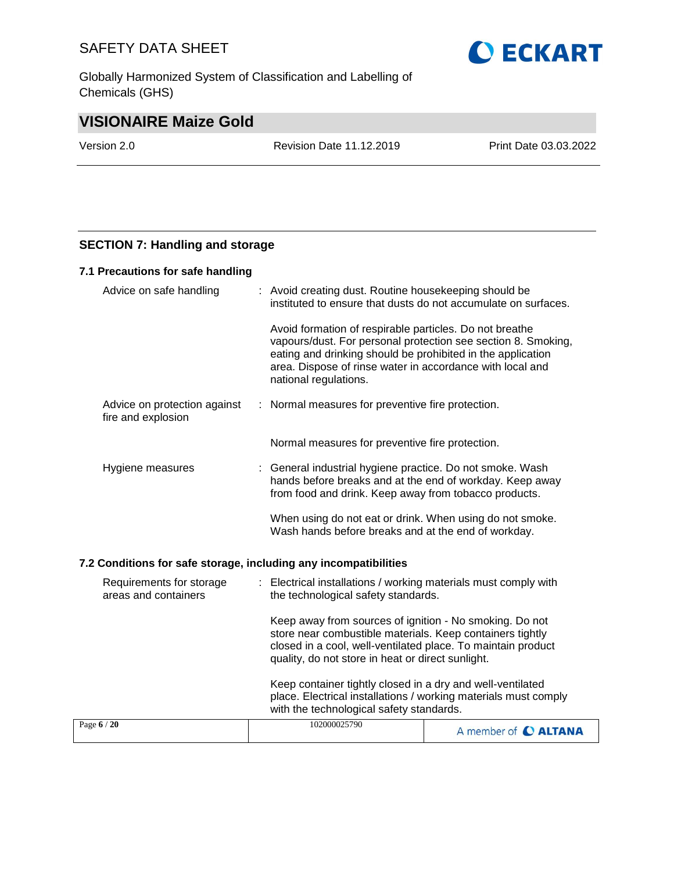Globally Harmonized System of Classification and Labelling of Chemicals (GHS)



# **VISIONAIRE Maize Gold**

Version 2.0 Revision Date 11.12.2019 Print Date 03.03.2022

#### **SECTION 7: Handling and storage**

#### **7.1 Precautions for safe handling**

| Advice on safe handling                                          |  | : Avoid creating dust. Routine housekeeping should be<br>instituted to ensure that dusts do not accumulate on surfaces.                                                                                                                                                       |
|------------------------------------------------------------------|--|-------------------------------------------------------------------------------------------------------------------------------------------------------------------------------------------------------------------------------------------------------------------------------|
|                                                                  |  | Avoid formation of respirable particles. Do not breathe<br>vapours/dust. For personal protection see section 8. Smoking,<br>eating and drinking should be prohibited in the application<br>area. Dispose of rinse water in accordance with local and<br>national regulations. |
| Advice on protection against<br>fire and explosion               |  | : Normal measures for preventive fire protection.                                                                                                                                                                                                                             |
|                                                                  |  | Normal measures for preventive fire protection.                                                                                                                                                                                                                               |
| Hygiene measures                                                 |  | : General industrial hygiene practice. Do not smoke. Wash<br>hands before breaks and at the end of workday. Keep away<br>from food and drink. Keep away from tobacco products.                                                                                                |
|                                                                  |  | When using do not eat or drink. When using do not smoke.<br>Wash hands before breaks and at the end of workday.                                                                                                                                                               |
| 7.2 Conditions for safe storage, including any incompatibilities |  |                                                                                                                                                                                                                                                                               |
| Requirements for storage<br>areas and containers                 |  | : Electrical installations / working materials must comply with<br>the technological safety standards.                                                                                                                                                                        |
|                                                                  |  | Keep away from sources of ignition - No smoking. Do not<br>store near combustible materials. Keep containers tightly<br>closed in a cool, well-ventilated place. To maintain product<br>quality, do not store in heat or direct sunlight.                                     |

with the technological safety standards.Page **6** / **20** 102000025790 A member of C ALTANA

Keep container tightly closed in a dry and well-ventilated place. Electrical installations / working materials must comply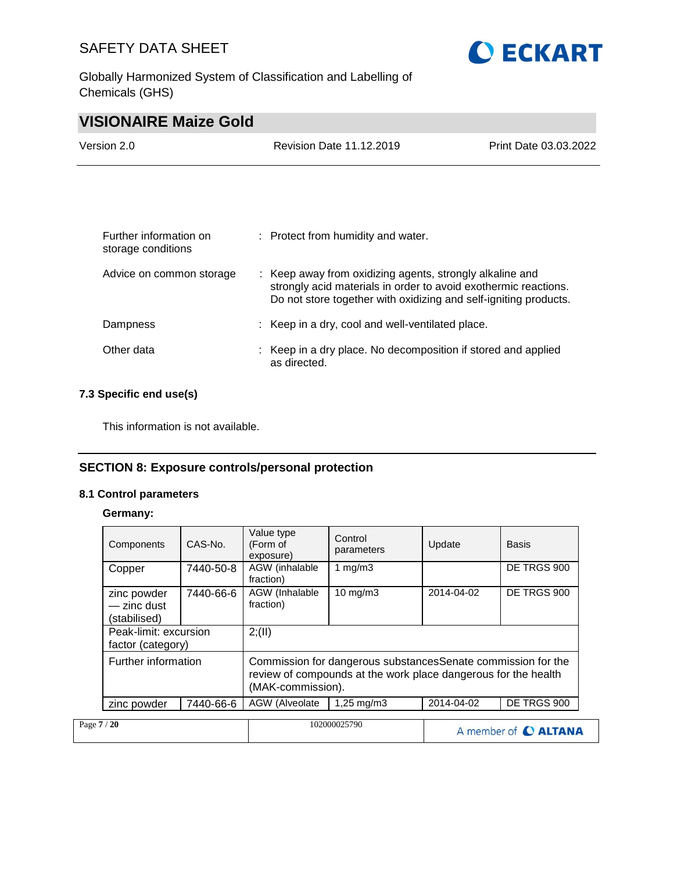Globally Harmonized System of Classification and Labelling of Chemicals (GHS)



# **VISIONAIRE Maize Gold**

| Version 2.0 | Revision Date 11.12.2019 | Print Date 03.03.2022 |
|-------------|--------------------------|-----------------------|
|             |                          |                       |

| Further information on<br>storage conditions | : Protect from humidity and water.                                                                                                                                                              |
|----------------------------------------------|-------------------------------------------------------------------------------------------------------------------------------------------------------------------------------------------------|
| Advice on common storage                     | : Keep away from oxidizing agents, strongly alkaline and<br>strongly acid materials in order to avoid exothermic reactions.<br>Do not store together with oxidizing and self-igniting products. |
| Dampness                                     | : Keep in a dry, cool and well-ventilated place.                                                                                                                                                |
| Other data                                   | : Keep in a dry place. No decomposition if stored and applied<br>as directed.                                                                                                                   |

#### **7.3 Specific end use(s)**

This information is not available.

#### **SECTION 8: Exposure controls/personal protection**

#### **8.1 Control parameters**

**Germany:**

|             | Components                                 | CAS-No.   | Value type<br>(Form of      | Control<br>parameters                                                                                                           | Update     | Basis                |
|-------------|--------------------------------------------|-----------|-----------------------------|---------------------------------------------------------------------------------------------------------------------------------|------------|----------------------|
|             |                                            |           | exposure)                   |                                                                                                                                 |            |                      |
|             | Copper                                     | 7440-50-8 | AGW (inhalable<br>fraction) | 1 mg/m $3$                                                                                                                      |            | DE TRGS 900          |
|             | zinc powder<br>- zinc dust<br>(stabilised) | 7440-66-6 | AGW (Inhalable<br>fraction) | $10 \text{ mg/m}$                                                                                                               | 2014-04-02 | DE TRGS 900          |
|             | Peak-limit: excursion<br>factor (category) |           | 2; (II)                     |                                                                                                                                 |            |                      |
|             | Further information                        |           | (MAK-commission).           | Commission for dangerous substances Senate commission for the<br>review of compounds at the work place dangerous for the health |            |                      |
|             | zinc powder                                | 7440-66-6 | AGW (Alveolate              | $1,25 \,\mathrm{mq/m3}$                                                                                                         | 2014-04-02 | DE TRGS 900          |
| Page 7 / 20 |                                            |           |                             | 102000025790                                                                                                                    |            | A member of C ALTANA |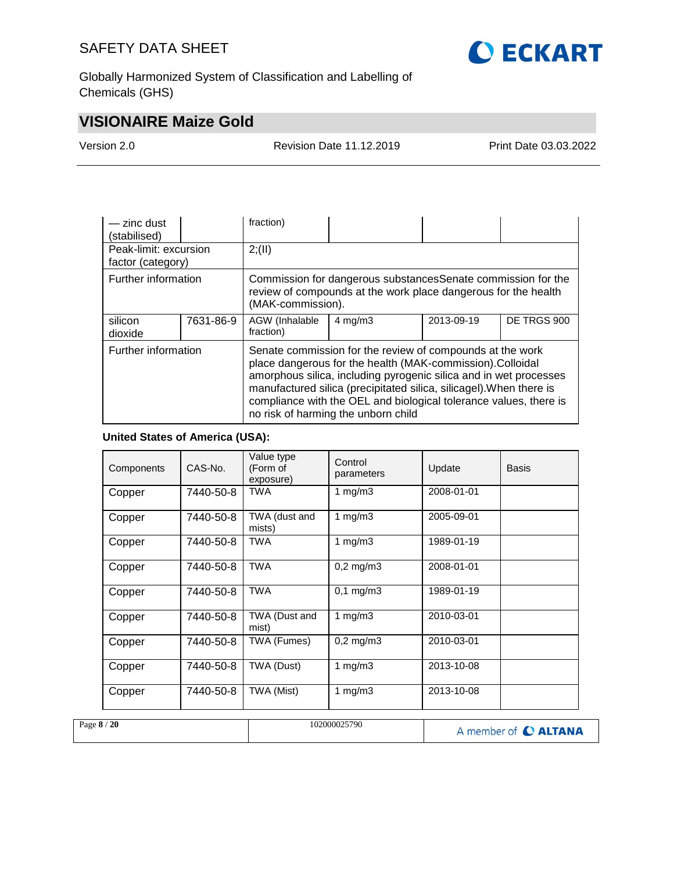

Globally Harmonized System of Classification and Labelling of Chemicals (GHS)

# **VISIONAIRE Maize Gold**

Version 2.0 Revision Date 11.12.2019 Print Date 03.03.2022

| - zinc dust<br>(stabilised)                |                                                                                                                                                                                                                                                                                                                                                                                                       | fraction)                                                                                                                                            |                    |            |             |  |
|--------------------------------------------|-------------------------------------------------------------------------------------------------------------------------------------------------------------------------------------------------------------------------------------------------------------------------------------------------------------------------------------------------------------------------------------------------------|------------------------------------------------------------------------------------------------------------------------------------------------------|--------------------|------------|-------------|--|
| Peak-limit: excursion<br>factor (category) |                                                                                                                                                                                                                                                                                                                                                                                                       | 2; (II)                                                                                                                                              |                    |            |             |  |
| Further information                        |                                                                                                                                                                                                                                                                                                                                                                                                       | Commission for dangerous substances Senate commission for the<br>review of compounds at the work place dangerous for the health<br>(MAK-commission). |                    |            |             |  |
| silicon<br>dioxide                         | 7631-86-9                                                                                                                                                                                                                                                                                                                                                                                             | AGW (Inhalable<br>fraction)                                                                                                                          | $4 \text{ mg/m}$ 3 | 2013-09-19 | DE TRGS 900 |  |
|                                            | Further information<br>Senate commission for the review of compounds at the work<br>place dangerous for the health (MAK-commission).Colloidal<br>amorphous silica, including pyrogenic silica and in wet processes<br>manufactured silica (precipitated silica, silicagel). When there is<br>compliance with the OEL and biological tolerance values, there is<br>no risk of harming the unborn child |                                                                                                                                                      |                    |            |             |  |

#### **United States of America (USA):**

| Components | CAS-No.   | Value type<br>(Form of<br>exposure) | Control<br>parameters | Update     | <b>Basis</b> |
|------------|-----------|-------------------------------------|-----------------------|------------|--------------|
| Copper     | 7440-50-8 | TWA                                 | 1 mg/m $3$            | 2008-01-01 |              |
| Copper     | 7440-50-8 | TWA (dust and<br>mists)             | 1 mg/m $3$            | 2005-09-01 |              |
| Copper     | 7440-50-8 | <b>TWA</b>                          | 1 mg/m $3$            | 1989-01-19 |              |
| Copper     | 7440-50-8 | <b>TWA</b>                          | $0,2$ mg/m $3$        | 2008-01-01 |              |
| Copper     | 7440-50-8 | TWA                                 | $0,1 \, \text{mg/m3}$ | 1989-01-19 |              |
| Copper     | 7440-50-8 | TWA (Dust and<br>mist)              | 1 $mg/m3$             | 2010-03-01 |              |
| Copper     | 7440-50-8 | TWA (Fumes)                         | $0,2$ mg/m $3$        | 2010-03-01 |              |
| Copper     | 7440-50-8 | TWA (Dust)                          | 1 $mg/m3$             | 2013-10-08 |              |
| Copper     | 7440-50-8 | TWA (Mist)                          | 1 $mg/m3$             | 2013-10-08 |              |

| Page $8/20$ | 102000025790 | A member of C ALTANA |
|-------------|--------------|----------------------|
|             |              |                      |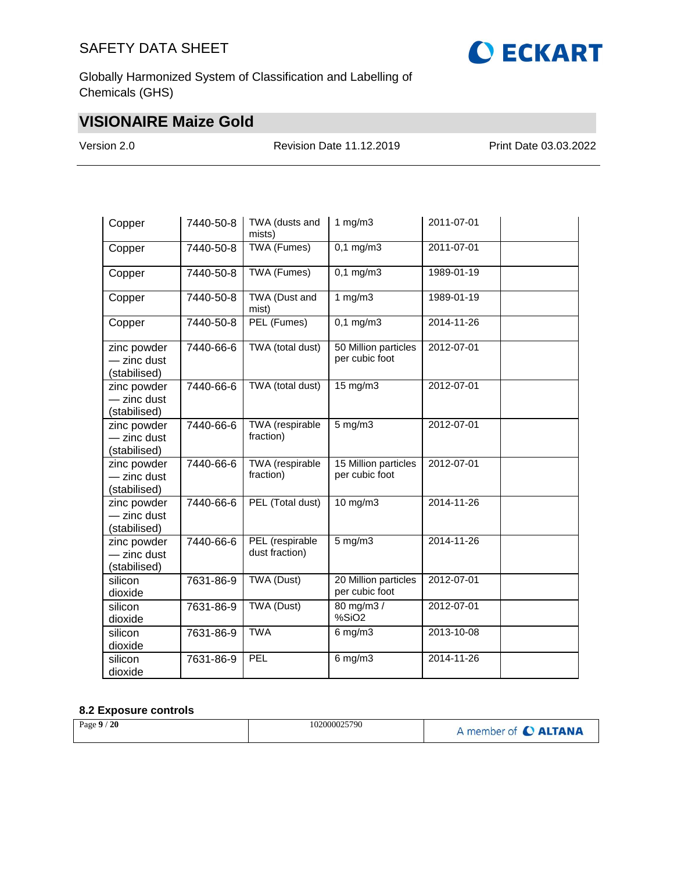

Globally Harmonized System of Classification and Labelling of Chemicals (GHS)

# **VISIONAIRE Maize Gold**

Version 2.0 Revision Date 11.12.2019 Print Date 03.03.2022

| Copper                                     | 7440-50-8 | TWA (dusts and<br>mists)            | 1 $mg/m3$                                | 2011-07-01 |
|--------------------------------------------|-----------|-------------------------------------|------------------------------------------|------------|
| Copper                                     | 7440-50-8 | TWA (Fumes)                         | $0,1$ mg/m3                              | 2011-07-01 |
| Copper                                     | 7440-50-8 | TWA (Fumes)                         | $0,1 \overline{\mathrm{mg}}/\mathrm{m}3$ | 1989-01-19 |
| Copper                                     | 7440-50-8 | TWA (Dust and<br>mist)              | 1 $mg/m3$                                | 1989-01-19 |
| Copper                                     | 7440-50-8 | PEL (Fumes)                         | $0,1$ mg/m3                              | 2014-11-26 |
| zinc powder<br>- zinc dust<br>(stabilised) | 7440-66-6 | TWA (total dust)                    | 50 Million particles<br>per cubic foot   | 2012-07-01 |
| zinc powder<br>- zinc dust<br>(stabilised) | 7440-66-6 | TWA (total dust)                    | 15 mg/m3                                 | 2012-07-01 |
| zinc powder<br>- zinc dust<br>(stabilised) | 7440-66-6 | <b>TWA</b> (respirable<br>fraction) | $5$ mg/m $3$                             | 2012-07-01 |
| zinc powder<br>- zinc dust<br>(stabilised) | 7440-66-6 | <b>TWA</b> (respirable<br>fraction) | 15 Million particles<br>per cubic foot   | 2012-07-01 |
| zinc powder<br>- zinc dust<br>(stabilised) | 7440-66-6 | PEL (Total dust)                    | 10 mg/m3                                 | 2014-11-26 |
| zinc powder<br>- zinc dust<br>(stabilised) | 7440-66-6 | PEL (respirable<br>dust fraction)   | $5$ mg/m $3$                             | 2014-11-26 |
| silicon<br>dioxide                         | 7631-86-9 | TWA (Dust)                          | 20 Million particles<br>per cubic foot   | 2012-07-01 |
| silicon<br>dioxide                         | 7631-86-9 | <b>TWA (Dust)</b>                   | 80 mg/m3 /<br>%SiO <sub>2</sub>          | 2012-07-01 |
| silicon<br>dioxide                         | 7631-86-9 | <b>TWA</b>                          | $6$ mg/m $3$                             | 2013-10-08 |
| silicon<br>dioxide                         | 7631-86-9 | PEL                                 | $6$ mg/m $3$                             | 2014-11-26 |

#### **8.2 Exposure controls**

| Page $9/20$ | 102000025790 | A member of <b>C ALTANA</b> |
|-------------|--------------|-----------------------------|
|-------------|--------------|-----------------------------|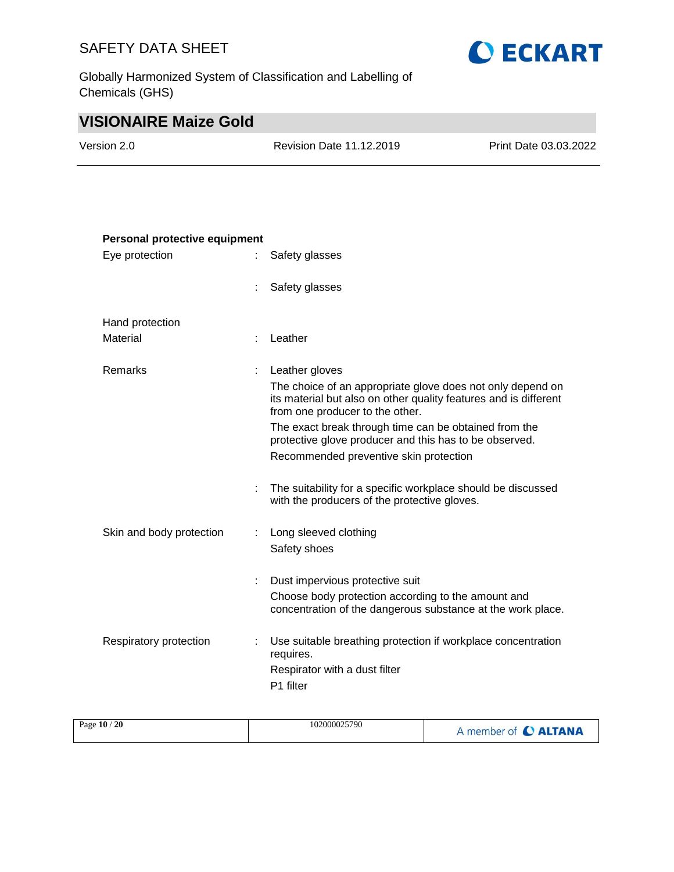Globally Harmonized System of Classification and Labelling of Chemicals (GHS)



# **VISIONAIRE Maize Gold**

| Version 2.0 | Revision Date 11.12.2019 | Print Date 03.03.2022 |
|-------------|--------------------------|-----------------------|
|             |                          |                       |

| Personal protective equipment |    |                                                                                                                                                                   |  |  |
|-------------------------------|----|-------------------------------------------------------------------------------------------------------------------------------------------------------------------|--|--|
| Eye protection                |    | Safety glasses                                                                                                                                                    |  |  |
|                               |    | Safety glasses                                                                                                                                                    |  |  |
| Hand protection               |    |                                                                                                                                                                   |  |  |
| Material                      | ÷  | Leather                                                                                                                                                           |  |  |
| Remarks                       | ÷  | Leather gloves                                                                                                                                                    |  |  |
|                               |    | The choice of an appropriate glove does not only depend on<br>its material but also on other quality features and is different<br>from one producer to the other. |  |  |
|                               |    | The exact break through time can be obtained from the<br>protective glove producer and this has to be observed.                                                   |  |  |
|                               |    | Recommended preventive skin protection                                                                                                                            |  |  |
|                               | ÷  | The suitability for a specific workplace should be discussed<br>with the producers of the protective gloves.                                                      |  |  |
| Skin and body protection      | ÷. | Long sleeved clothing                                                                                                                                             |  |  |
|                               |    | Safety shoes                                                                                                                                                      |  |  |
|                               |    | Dust impervious protective suit                                                                                                                                   |  |  |
|                               |    | Choose body protection according to the amount and<br>concentration of the dangerous substance at the work place.                                                 |  |  |
| Respiratory protection        |    | Use suitable breathing protection if workplace concentration<br>requires.                                                                                         |  |  |
|                               |    | Respirator with a dust filter<br>P1 filter                                                                                                                        |  |  |
|                               |    |                                                                                                                                                                   |  |  |

| Page 10 / 20<br>102000025790 | A member of C ALTANA |
|------------------------------|----------------------|
|------------------------------|----------------------|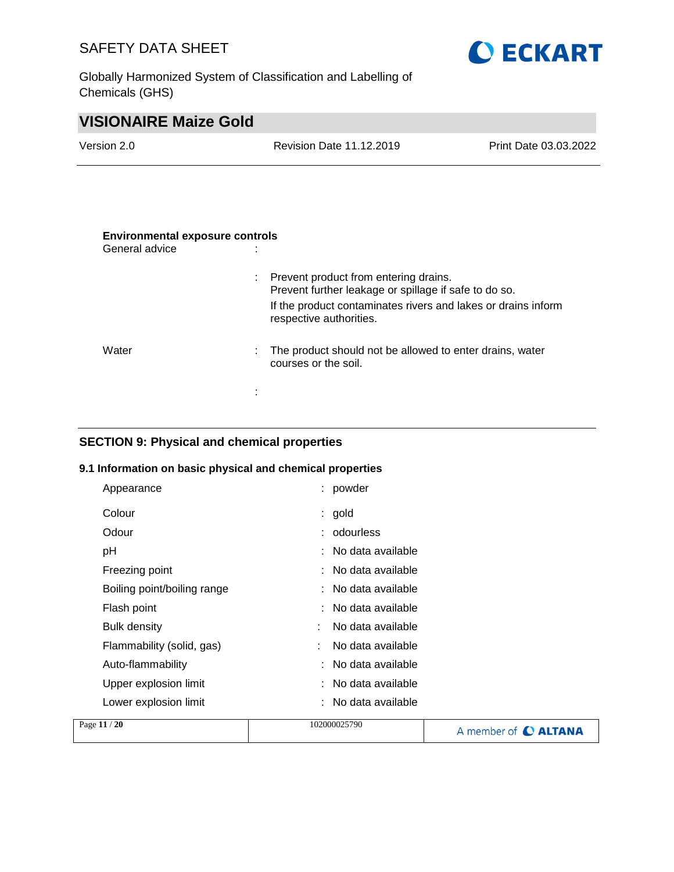Globally Harmonized System of Classification and Labelling of Chemicals (GHS)



| <b>Revision Date 11.12.2019</b> | Print Date 03.03.2022 |
|---------------------------------|-----------------------|
|                                 |                       |
|                                 |                       |
|                                 |                       |

| <b>Environmental exposure controls</b><br>General advice |                                                                                                  |
|----------------------------------------------------------|--------------------------------------------------------------------------------------------------|
|                                                          | : Prevent product from entering drains.<br>Prevent further leakage or spillage if safe to do so. |
|                                                          | If the product contaminates rivers and lakes or drains inform<br>respective authorities.         |
| Water                                                    | The product should not be allowed to enter drains, water<br>÷<br>courses or the soil.            |
|                                                          | ٠<br>٠                                                                                           |

## **SECTION 9: Physical and chemical properties**

#### **9.1 Information on basic physical and chemical properties**

| Appearance                  | : powder              |
|-----------------------------|-----------------------|
| Colour                      | $:$ gold              |
| Odour                       | : odourless           |
| рH                          | : No data available   |
| Freezing point              | No data available     |
| Boiling point/boiling range | $:$ No data available |
| Flash point                 | : No data available   |
| <b>Bulk density</b>         | No data available     |
| Flammability (solid, gas)   | No data available     |
| Auto-flammability           | No data available     |
| Upper explosion limit       | : No data available   |
| Lower explosion limit       | : No data available   |
| .                           |                       |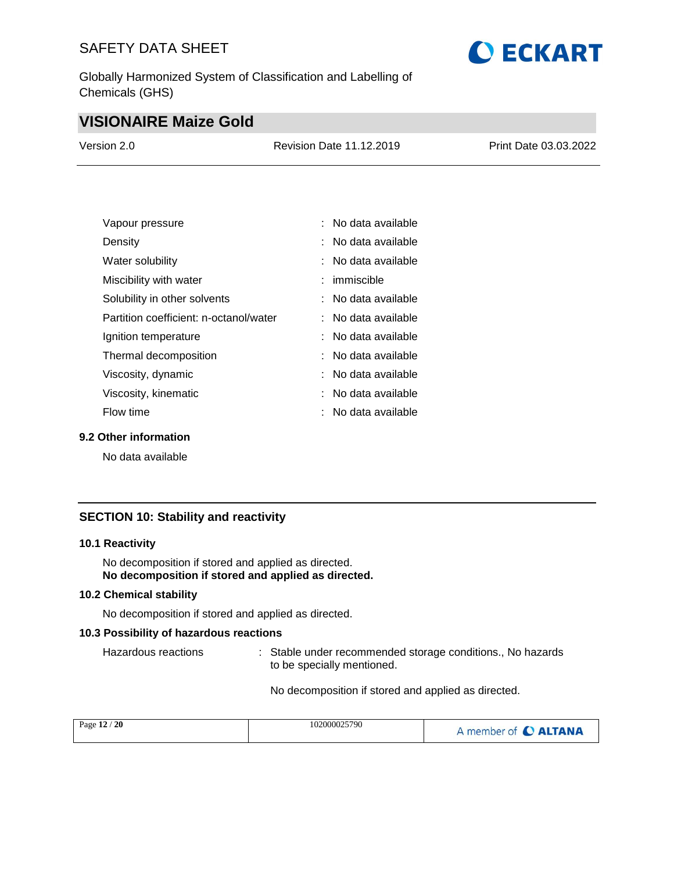Globally Harmonized System of Classification and Labelling of Chemicals (GHS)

# **O ECKART**

# **VISIONAIRE Maize Gold**

| Version 2.0 | <b>Revision Date 11.12.2019</b> | Print Date 03.03.2022 |
|-------------|---------------------------------|-----------------------|
|             |                                 |                       |

| Vapour pressure                        | : No data available   |
|----------------------------------------|-----------------------|
| Density                                | : No data available   |
| Water solubility                       | $:$ No data available |
| Miscibility with water                 | $:$ immiscible        |
| Solubility in other solvents           | : No data available   |
| Partition coefficient: n-octanol/water | $:$ No data available |
| Ignition temperature                   | : No data available   |
| Thermal decomposition                  | $:$ No data available |
| Viscosity, dynamic                     | : No data available   |
| Viscosity, kinematic                   | $:$ No data available |
| Flow time                              | ∶ No data available   |

#### **9.2 Other information**

No data available

#### **SECTION 10: Stability and reactivity**

#### **10.1 Reactivity**

No decomposition if stored and applied as directed. **No decomposition if stored and applied as directed.**

#### **10.2 Chemical stability**

No decomposition if stored and applied as directed.

#### **10.3 Possibility of hazardous reactions**

Hazardous reactions : Stable under recommended storage conditions., No hazards to be specially mentioned.

No decomposition if stored and applied as directed.

| Page 12 / 20 | 102000025790 | A member of C ALTANA |
|--------------|--------------|----------------------|
|              |              |                      |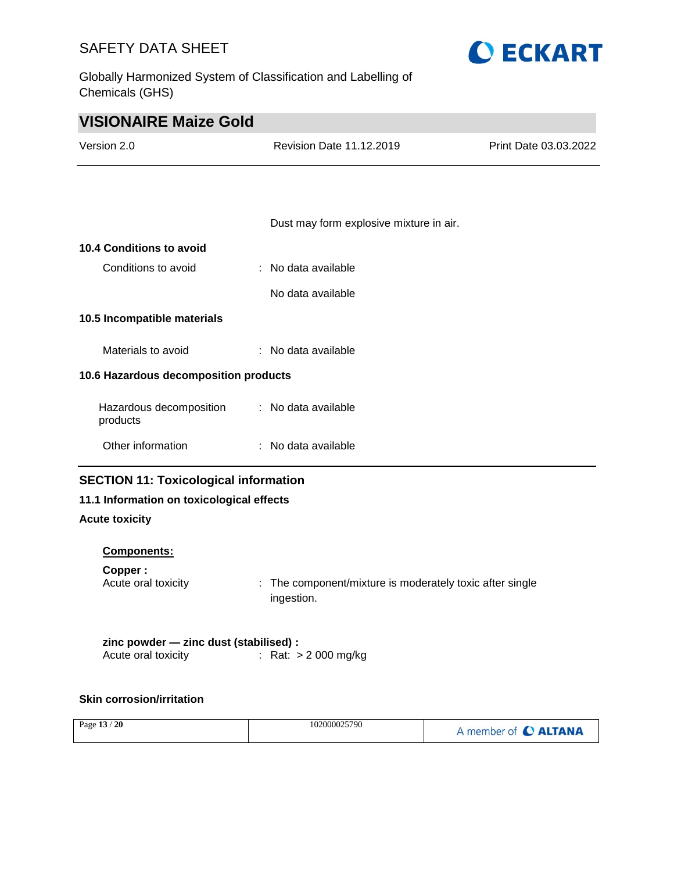Globally Harmonized System of Classification and Labelling of Chemicals (GHS)



| <b>VISIONAIRE Maize Gold</b>          |                                         |                       |  |  |
|---------------------------------------|-----------------------------------------|-----------------------|--|--|
| Version 2.0                           | <b>Revision Date 11.12.2019</b>         | Print Date 03.03.2022 |  |  |
|                                       |                                         |                       |  |  |
|                                       |                                         |                       |  |  |
|                                       | Dust may form explosive mixture in air. |                       |  |  |
| 10.4 Conditions to avoid              |                                         |                       |  |  |
| Conditions to avoid                   | : No data available                     |                       |  |  |
|                                       | No data available                       |                       |  |  |
| 10.5 Incompatible materials           |                                         |                       |  |  |
| Materials to avoid                    | : No data available                     |                       |  |  |
| 10.6 Hazardous decomposition products |                                         |                       |  |  |
| Hazardous decomposition<br>products   | : No data available                     |                       |  |  |
| Other information                     | : No data available                     |                       |  |  |
|                                       |                                         |                       |  |  |

## **SECTION 11: Toxicological information**

## **11.1 Information on toxicological effects**

#### **Acute toxicity**

#### **Components:**

| Copper :            |                                                          |
|---------------------|----------------------------------------------------------|
| Acute oral toxicity | : The component/mixture is moderately toxic after single |
|                     | ingestion.                                               |

| zinc powder - zinc dust (stabilised) : |                       |
|----------------------------------------|-----------------------|
| Acute oral toxicity                    | : Rat: $> 2000$ mg/kg |

#### **Skin corrosion/irritation**

| Page 13 / 20<br>102000025790<br>A member of C ALTANA |
|------------------------------------------------------|
|------------------------------------------------------|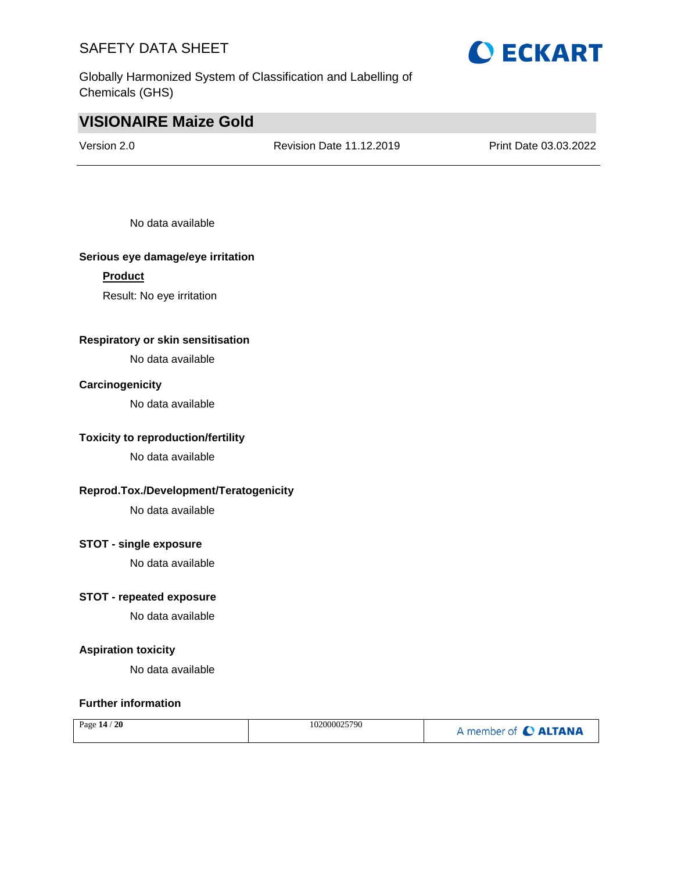Globally Harmonized System of Classification and Labelling of Chemicals (GHS)



# **VISIONAIRE Maize Gold**

Version 2.0 Revision Date 11.12.2019 Print Date 03.03.2022

No data available

#### **Serious eye damage/eye irritation**

#### **Product**

Result: No eye irritation

#### **Respiratory or skin sensitisation**

No data available

#### **Carcinogenicity**

No data available

#### **Toxicity to reproduction/fertility**

No data available

#### **Reprod.Tox./Development/Teratogenicity**

No data available

#### **STOT - single exposure**

No data available

#### **STOT - repeated exposure**

No data available

#### **Aspiration toxicity**

No data available

#### **Further information**

| 102000025790<br><sup>20</sup><br>Page $14/$ | A member of <b>C ALTANA</b> |
|---------------------------------------------|-----------------------------|
|---------------------------------------------|-----------------------------|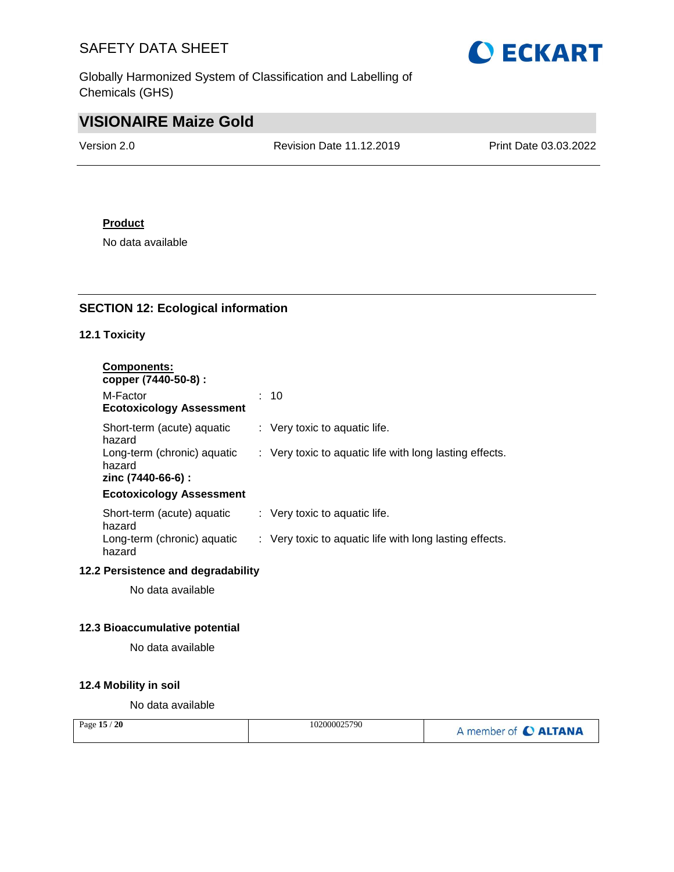Globally Harmonized System of Classification and Labelling of Chemicals (GHS)



# **VISIONAIRE Maize Gold**

Version 2.0 Revision Date 11.12.2019 Print Date 03.03.2022

#### **Product**

No data available

#### **SECTION 12: Ecological information**

#### **12.1 Toxicity**

| : 10                                                    |
|---------------------------------------------------------|
| $\therefore$ Very toxic to aquatic life.                |
| : Very toxic to aquatic life with long lasting effects. |
|                                                         |
| $\therefore$ Very toxic to aquatic life.                |
| : Very toxic to aquatic life with long lasting effects. |
|                                                         |

No data available

#### **12.3 Bioaccumulative potential**

No data available

#### **12.4 Mobility in soil**

No data available

| Page 15 / 20 | 102000025790 | member of C ALTANA |
|--------------|--------------|--------------------|
|--------------|--------------|--------------------|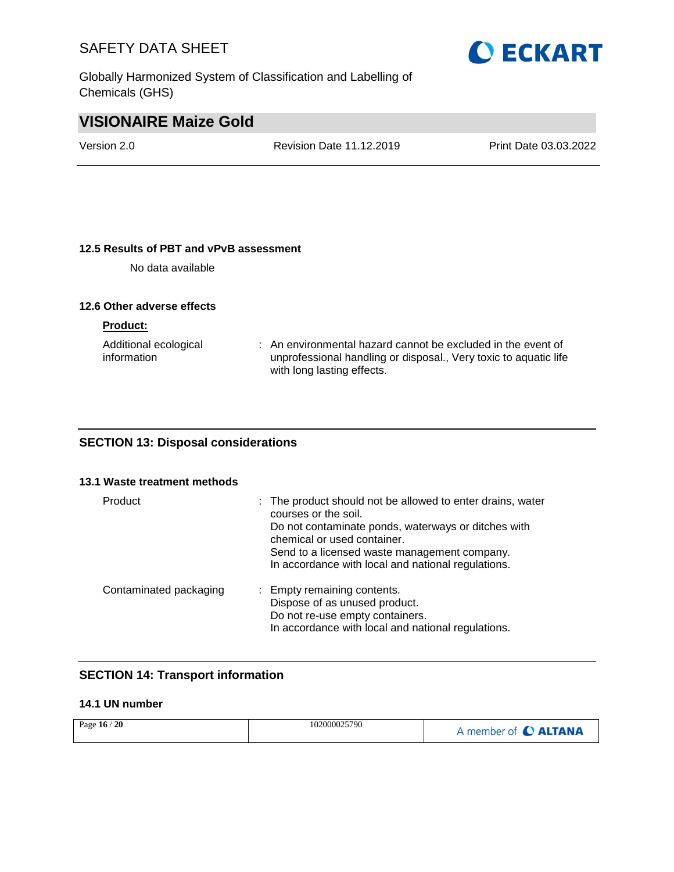Globally Harmonized System of Classification and Labelling of Chemicals (GHS)



# **VISIONAIRE Maize Gold**

Version 2.0 Revision Date 11.12.2019 Print Date 03.03.2022

#### **12.5 Results of PBT and vPvB assessment**

No data available

#### **12.6 Other adverse effects**

**Product:**

| Additional ecological | : An environmental hazard cannot be excluded in the event of     |
|-----------------------|------------------------------------------------------------------|
| information           | unprofessional handling or disposal., Very toxic to aquatic life |
|                       | with long lasting effects.                                       |

#### **SECTION 13: Disposal considerations**

#### **13.1 Waste treatment methods**

| Product                | : The product should not be allowed to enter drains, water<br>courses or the soil.<br>Do not contaminate ponds, waterways or ditches with<br>chemical or used container.<br>Send to a licensed waste management company.<br>In accordance with local and national regulations. |
|------------------------|--------------------------------------------------------------------------------------------------------------------------------------------------------------------------------------------------------------------------------------------------------------------------------|
| Contaminated packaging | : Empty remaining contents.<br>Dispose of as unused product.<br>Do not re-use empty containers.<br>In accordance with local and national regulations.                                                                                                                          |

## **SECTION 14: Transport information**

#### **14.1 UN number**

| Page 16 / 20 | 102000025790 | A member of C ALTANA |
|--------------|--------------|----------------------|
|              |              |                      |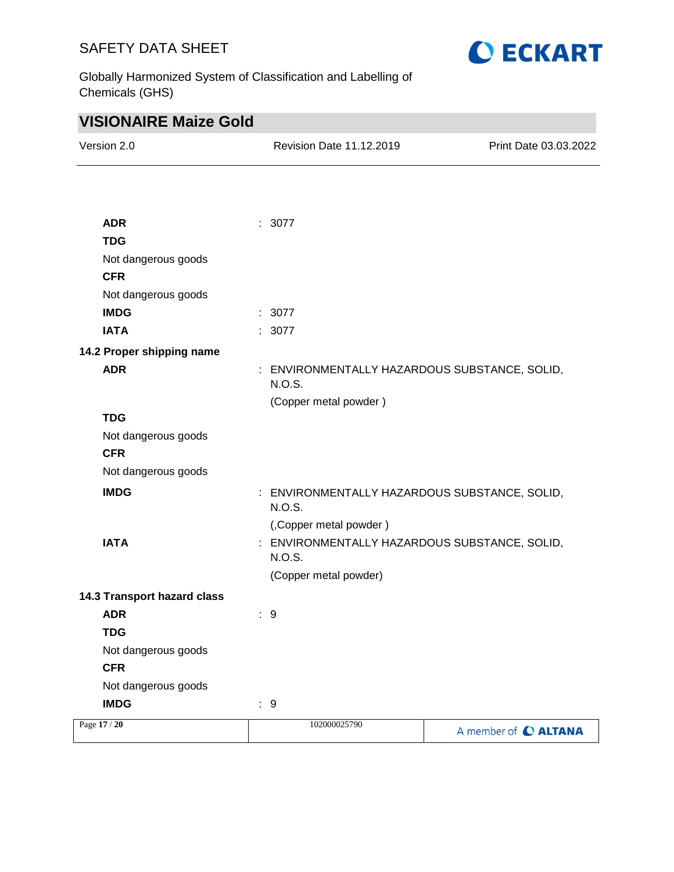

Globally Harmonized System of Classification and Labelling of Chemicals (GHS)

| <b>VISIONAIRE Maize Gold</b>      |                                                         |                       |
|-----------------------------------|---------------------------------------------------------|-----------------------|
| Version 2.0                       | <b>Revision Date 11.12.2019</b>                         | Print Date 03.03.2022 |
|                                   |                                                         |                       |
|                                   |                                                         |                       |
| <b>ADR</b>                        | : 3077                                                  |                       |
| <b>TDG</b>                        |                                                         |                       |
| Not dangerous goods               |                                                         |                       |
| <b>CFR</b>                        |                                                         |                       |
| Not dangerous goods               |                                                         |                       |
| <b>IMDG</b>                       | : 3077                                                  |                       |
| <b>IATA</b>                       | : 3077                                                  |                       |
| 14.2 Proper shipping name         |                                                         |                       |
| <b>ADR</b>                        | : ENVIRONMENTALLY HAZARDOUS SUBSTANCE, SOLID,           |                       |
|                                   | N.O.S.                                                  |                       |
|                                   | (Copper metal powder)                                   |                       |
| <b>TDG</b>                        |                                                         |                       |
| Not dangerous goods<br><b>CFR</b> |                                                         |                       |
| Not dangerous goods               |                                                         |                       |
|                                   |                                                         |                       |
| <b>IMDG</b>                       | : ENVIRONMENTALLY HAZARDOUS SUBSTANCE, SOLID,<br>N.O.S. |                       |
|                                   | (, Copper metal powder)                                 |                       |
| <b>IATA</b>                       | ENVIRONMENTALLY HAZARDOUS SUBSTANCE, SOLID,             |                       |
|                                   | <b>N.O.S.</b>                                           |                       |
|                                   | (Copper metal powder)                                   |                       |
| 14.3 Transport hazard class       |                                                         |                       |
| <b>ADR</b>                        | : 9                                                     |                       |
| <b>TDG</b>                        |                                                         |                       |
| Not dangerous goods               |                                                         |                       |
| <b>CFR</b>                        |                                                         |                       |
| Not dangerous goods               |                                                         |                       |
| <b>IMDG</b>                       | $\therefore$ 9                                          |                       |
| Page 17 / 20                      | 102000025790                                            | A member of C ALTANA  |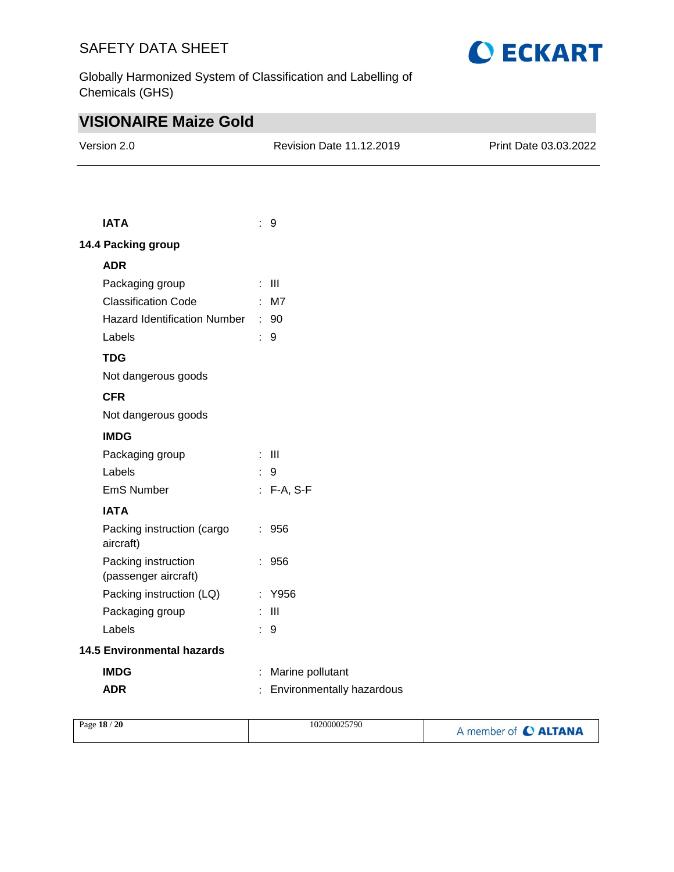Globally Harmonized System of Classification and Labelling of Chemicals (GHS)



| <b>VISIONAIRE Maize Gold</b>                |  |                           |                       |  |
|---------------------------------------------|--|---------------------------|-----------------------|--|
| Version 2.0                                 |  | Revision Date 11.12.2019  | Print Date 03.03.2022 |  |
|                                             |  |                           |                       |  |
| <b>IATA</b>                                 |  |                           |                       |  |
|                                             |  | $\therefore$ 9            |                       |  |
| 14.4 Packing group                          |  |                           |                       |  |
| <b>ADR</b>                                  |  |                           |                       |  |
| Packaging group                             |  | $\pm$ 111                 |                       |  |
| <b>Classification Code</b>                  |  | $:$ M7                    |                       |  |
| Hazard Identification Number : 90           |  |                           |                       |  |
| Labels                                      |  | : 9                       |                       |  |
| <b>TDG</b>                                  |  |                           |                       |  |
| Not dangerous goods                         |  |                           |                       |  |
| <b>CFR</b>                                  |  |                           |                       |  |
| Not dangerous goods                         |  |                           |                       |  |
| <b>IMDG</b>                                 |  |                           |                       |  |
| Packaging group                             |  | $\therefore$ III          |                       |  |
| Labels                                      |  | : 9                       |                       |  |
| EmS Number                                  |  | : F-A, S-F                |                       |  |
| <b>IATA</b>                                 |  |                           |                       |  |
| Packing instruction (cargo<br>aircraft)     |  | : 956                     |                       |  |
| Packing instruction<br>(passenger aircraft) |  | : 956                     |                       |  |
| Packing instruction (LQ)                    |  | : Y956                    |                       |  |
| Packaging group                             |  | - III                     |                       |  |
| Labels                                      |  | $\therefore$ 9            |                       |  |
| <b>14.5 Environmental hazards</b>           |  |                           |                       |  |
| <b>IMDG</b>                                 |  | Marine pollutant          |                       |  |
| <b>ADR</b>                                  |  | Environmentally hazardous |                       |  |

| Page 18 / 20 | 102000025790 | A member of C ALTANA |
|--------------|--------------|----------------------|
|              |              |                      |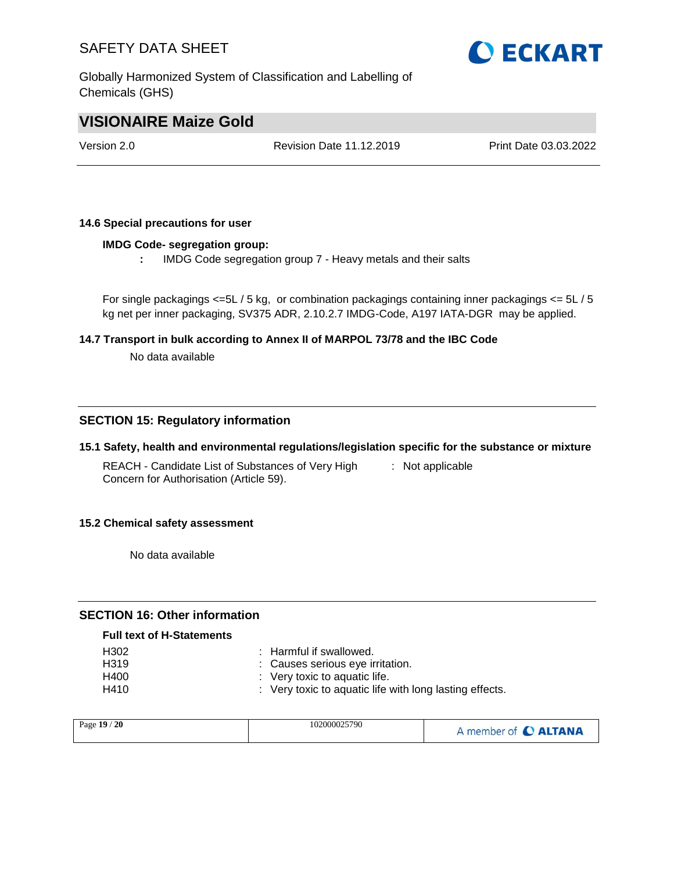Globally Harmonized System of Classification and Labelling of Chemicals (GHS)



## **VISIONAIRE Maize Gold**

Version 2.0 Revision Date 11.12.2019 Print Date 03.03.2022

#### **14.6 Special precautions for user**

#### **IMDG Code- segregation group:**

**:** IMDG Code segregation group 7 - Heavy metals and their salts

For single packagings  $\leq 5L/5$  kg, or combination packagings containing inner packagings  $\leq 5L/5$ kg net per inner packaging, SV375 ADR, 2.10.2.7 IMDG-Code, A197 IATA-DGR may be applied.

#### **14.7 Transport in bulk according to Annex II of MARPOL 73/78 and the IBC Code**

No data available

#### **SECTION 15: Regulatory information**

#### **15.1 Safety, health and environmental regulations/legislation specific for the substance or mixture**

REACH - Candidate List of Substances of Very High Concern for Authorisation (Article 59). : Not applicable

#### **15.2 Chemical safety assessment**

No data available

#### **SECTION 16: Other information**

#### **Full text of H-Statements**

| H302              | : Harmful if swallowed.                                 |
|-------------------|---------------------------------------------------------|
| H <sub>3</sub> 19 | : Causes serious eve irritation.                        |
| H400              | $\therefore$ Very toxic to aquatic life.                |
| H410              | : Very toxic to aquatic life with long lasting effects. |

| Page 19 / 20 | 102000025790 | A member of C ALTANA |
|--------------|--------------|----------------------|
|--------------|--------------|----------------------|